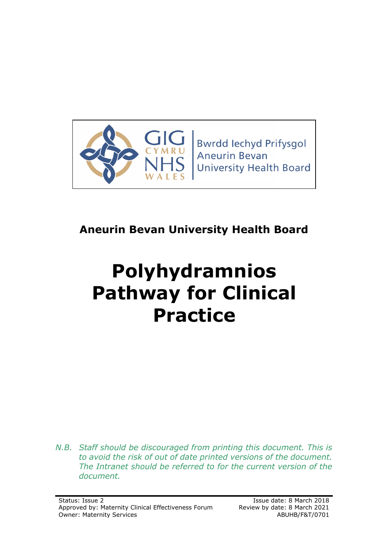

# **Aneurin Bevan University Health Board**

# **Polyhydramnios Pathway for Clinical Practice**

*N.B. Staff should be discouraged from printing this document. This is to avoid the risk of out of date printed versions of the document. The Intranet should be referred to for the current version of the document.*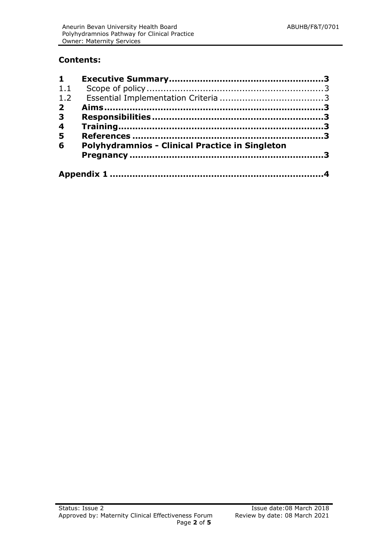#### **Contents:**

| $1 \quad$               |                                                        |  |
|-------------------------|--------------------------------------------------------|--|
| 1.1                     |                                                        |  |
| 1.2                     |                                                        |  |
| $\overline{2}$          |                                                        |  |
| $\overline{\mathbf{3}}$ |                                                        |  |
| $\overline{\mathbf{4}}$ |                                                        |  |
| 5                       |                                                        |  |
| 6                       | <b>Polyhydramnios - Clinical Practice in Singleton</b> |  |
|                         |                                                        |  |
|                         |                                                        |  |
|                         |                                                        |  |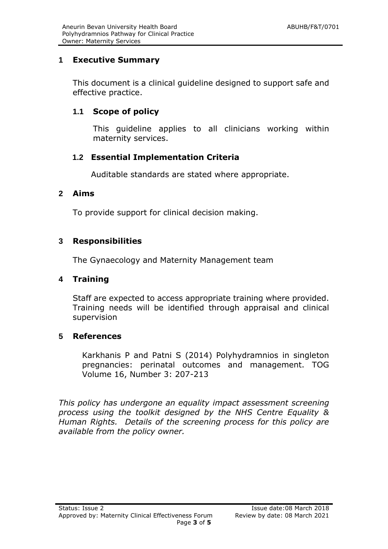#### <span id="page-2-0"></span>**1 Executive Summary**

This document is a clinical guideline designed to support safe and effective practice.

#### <span id="page-2-1"></span>**1.1 Scope of policy**

This guideline applies to all clinicians working within maternity services.

#### <span id="page-2-2"></span>**1.2 Essential Implementation Criteria**

Auditable standards are stated where appropriate.

#### <span id="page-2-3"></span>**2 Aims**

To provide support for clinical decision making.

#### <span id="page-2-4"></span>**3 Responsibilities**

The Gynaecology and Maternity Management team

#### <span id="page-2-5"></span>**4 Training**

Staff are expected to access appropriate training where provided. Training needs will be identified through appraisal and clinical supervision

#### <span id="page-2-6"></span>**5 References**

Karkhanis P and Patni S (2014) Polyhydramnios in singleton pregnancies: perinatal outcomes and management. TOG Volume 16, Number 3: 207-213

*This policy has undergone an equality impact assessment screening process using the toolkit designed by the NHS Centre Equality & Human Rights. Details of the screening process for this policy are available from the policy owner.*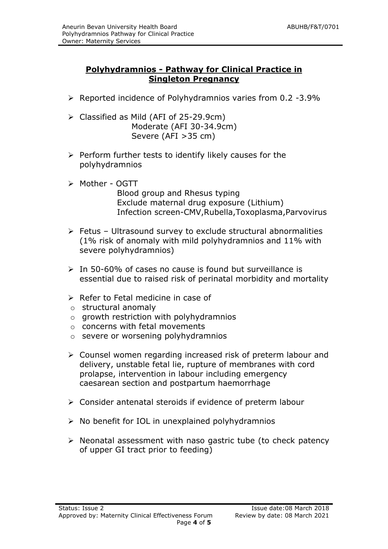#### **Polyhydramnios - Pathway for Clinical Practice in Singleton Pregnancy**

- $\triangleright$  Reported incidence of Polyhydramnios varies from 0.2 -3.9%
- $\triangleright$  Classified as Mild (AFI of 25-29.9cm) Moderate (AFI 30-34.9cm) Severe (AFI >35 cm)
- $\triangleright$  Perform further tests to identify likely causes for the polyhydramnios
- Mother OGTT Blood group and Rhesus typing Exclude maternal drug exposure (Lithium) Infection screen-CMV,Rubella,Toxoplasma,Parvovirus
- $\triangleright$  Fetus Ultrasound survey to exclude structural abnormalities (1% risk of anomaly with mild polyhydramnios and 11% with severe polyhydramnios)
- $\geq$  In 50-60% of cases no cause is found but surveillance is essential due to raised risk of perinatal morbidity and mortality
- $\triangleright$  Refer to Fetal medicine in case of
- o structural anomaly
- $\circ$  growth restriction with polyhydramnios
- $\circ$  concerns with fetal movements
- o severe or worsening polyhydramnios
- Counsel women regarding increased risk of preterm labour and delivery, unstable fetal lie, rupture of membranes with cord prolapse, intervention in labour including emergency caesarean section and postpartum haemorrhage
- $\triangleright$  Consider antenatal steroids if evidence of preterm labour
- $\triangleright$  No benefit for IOL in unexplained polyhydramnios
- $\triangleright$  Neonatal assessment with naso gastric tube (to check patency of upper GI tract prior to feeding)